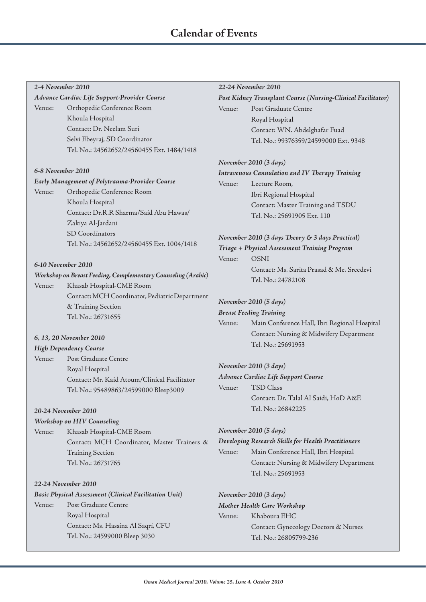*22-24 November 2010*

## $2.4 N_1$  1 2010

| 2-4 inovember 2010                                                                  |                                                |  |  |  |
|-------------------------------------------------------------------------------------|------------------------------------------------|--|--|--|
| Advance Cardiac Life Support-Provider Course                                        |                                                |  |  |  |
| Venue:                                                                              | Orthopedic Conference Room                     |  |  |  |
|                                                                                     | Khoula Hospital                                |  |  |  |
|                                                                                     | Contact: Dr. Neelam Suri                       |  |  |  |
|                                                                                     | Selvi Ebeyraj, SD Coordinator                  |  |  |  |
|                                                                                     | Tel. No.: 24562652/24560455 Ext. 1484/1418     |  |  |  |
| 6-8 November 2010                                                                   |                                                |  |  |  |
| <b>Early Management of Polytrauma-Provider Course</b>                               |                                                |  |  |  |
| Venue:                                                                              | Orthopedic Conference Room                     |  |  |  |
|                                                                                     | Khoula Hospital                                |  |  |  |
|                                                                                     | Contact: Dr.R.R Sharma/Said Abu Hawas/         |  |  |  |
|                                                                                     | Zakiya Al-Jardani                              |  |  |  |
|                                                                                     | <b>SD</b> Coordinators                         |  |  |  |
|                                                                                     | Tel. No.: 24562652/24560455 Ext. 1004/1418     |  |  |  |
|                                                                                     |                                                |  |  |  |
| 6-10 November 2010<br>Workshop on Breast Feeding, Complementary Counseling (Arabic) |                                                |  |  |  |
| Venue:<br>Khasab Hospital-CME Room                                                  |                                                |  |  |  |
|                                                                                     | Contact: MCH Coordinator, Pediatric Department |  |  |  |
|                                                                                     | & Training Section                             |  |  |  |
|                                                                                     | Tel. No.: 26731655                             |  |  |  |
|                                                                                     |                                                |  |  |  |
| 6, 13, 20 November 2010                                                             |                                                |  |  |  |
| <b>High Dependency Course</b>                                                       |                                                |  |  |  |
| Venue:                                                                              | Post Graduate Centre                           |  |  |  |
|                                                                                     | Royal Hospital                                 |  |  |  |
|                                                                                     | Contact: Mr. Kaid Atoum/Clinical Facilitator   |  |  |  |
|                                                                                     | Tel. No.: 95489863/24599000 Bleep3009          |  |  |  |
|                                                                                     | 20-24 November 2010                            |  |  |  |
| Workshop on HIV Counseling                                                          |                                                |  |  |  |
| Venue:                                                                              | Khasab Hospital-CME Room                       |  |  |  |
|                                                                                     | Contact: MCH Coordinator, Master Trainers &    |  |  |  |
|                                                                                     | <b>Training Section</b>                        |  |  |  |
|                                                                                     | Tel. No.: 26731765                             |  |  |  |
| 22-24 November 2010                                                                 |                                                |  |  |  |
| <b>Basic Physical Assessment (Clinical Facilitation Unit)</b>                       |                                                |  |  |  |
|                                                                                     |                                                |  |  |  |

Venue: Post Graduate Centre Royal Hospital Contact: Ms. Hassina Al Saqri, CFU Tel. No.: 24599000 Bleep 3030

## *Post Kidney Transplant Course (Nursing-Clinical Facilitator)* Venue: Post Graduate Centre Royal Hospital Contact: WN. Abdelghafar Fuad Tel. No.: 99376359/24599000 Ext. 9348 *November 2010 (3 days) Intravenous Cannulation and IV Therapy Training* Venue: Lecture Room, Ibri Regional Hospital Contact: Master Training and TSDU Tel. No.: 25691905 Ext. 110 *November 2010 (3 days Theory & 3 days Practical) Triage + Physical Assessment Training Program* Venue: OSNI Contact: Ms. Sarita Prasad & Me. Sreedevi Tel. No.: 24782108 *November 2010 (5 days) Breast Feeding Training* Venue: Main Conference Hall, Ibri Regional Hospital Contact: Nursing & Midwifery Department Tel. No.: 25691953

*November 2010 (3 days) Advance Cardiac Life Support Course* Venue: TSD Class Contact: Dr. Talal Al Saidi, HoD A&E Tel. No.: 26842225

## *November 2010 (5 days)*

*Developing Research Skills for Health Practitioners*

Venue: Main Conference Hall, Ibri Hospital Contact: Nursing & Midwifery Department Tel. No.: 25691953

## *November 2010 (3 days)*

*Mother Health Care Workshop*

Venue: Khaboura EHC Contact: Gynecology Doctors & Nurses Tel. No.: 26805799-236